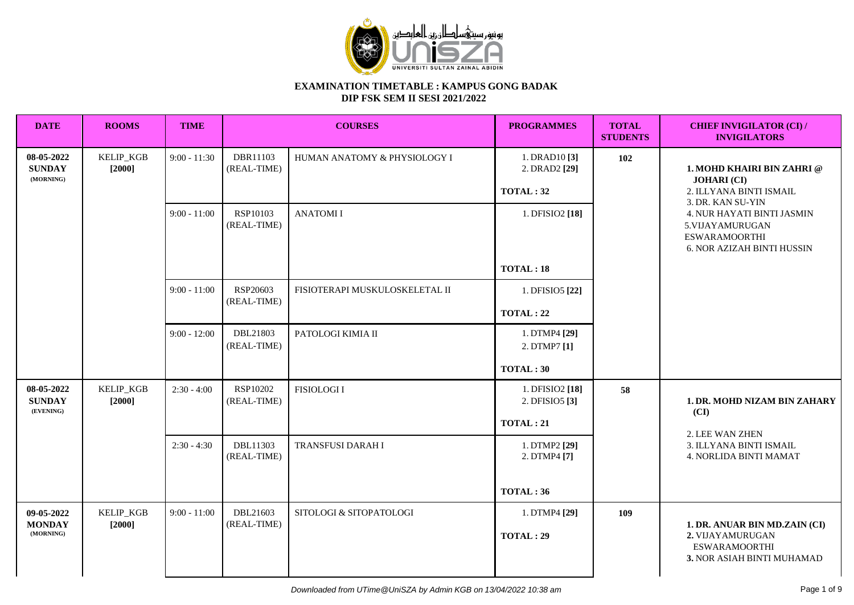

| <b>DATE</b>                              | <b>ROOMS</b>               | <b>TIME</b>    |                         | <b>COURSES</b>                 | <b>PROGRAMMES</b>                              | <b>TOTAL</b><br><b>STUDENTS</b> | <b>CHIEF INVIGILATOR (CI) /</b><br><b>INVIGILATORS</b>                                                                          |  |
|------------------------------------------|----------------------------|----------------|-------------------------|--------------------------------|------------------------------------------------|---------------------------------|---------------------------------------------------------------------------------------------------------------------------------|--|
| 08-05-2022<br><b>SUNDAY</b><br>(MORNING) | KELIP_KGB<br>$[2000]$      | $9:00 - 11:30$ | DBR11103<br>(REAL-TIME) | HUMAN ANATOMY & PHYSIOLOGY I   | 1. DRAD $10$ [3]<br>2. DRAD2 [29]<br>TOTAL: 32 | 102                             | 1. MOHD KHAIRI BIN ZAHRI @<br><b>JOHARI</b> (CI)<br>2. ILLYANA BINTI ISMAIL                                                     |  |
|                                          |                            | $9:00 - 11:00$ | RSP10103<br>(REAL-TIME) | <b>ANATOMII</b>                | 1. DFISIO2 [18]                                |                                 | 3. DR. KAN SU-YIN<br>4. NUR HAYATI BINTI JASMIN<br>5.VIJAYAMURUGAN<br><b>ESWARAMOORTHI</b><br><b>6. NOR AZIZAH BINTI HUSSIN</b> |  |
|                                          |                            |                |                         |                                | TOTAL:18                                       |                                 |                                                                                                                                 |  |
|                                          |                            | $9:00 - 11:00$ | RSP20603<br>(REAL-TIME) | FISIOTERAPI MUSKULOSKELETAL II | 1. DFISIO5 [22]                                |                                 |                                                                                                                                 |  |
|                                          |                            |                |                         |                                | <b>TOTAL: 22</b>                               |                                 |                                                                                                                                 |  |
|                                          |                            | $9:00 - 12:00$ | DBL21803<br>(REAL-TIME) | PATOLOGI KIMIA II              | 1. DTMP4 [29]<br>2. DTMP7 [1]                  |                                 |                                                                                                                                 |  |
|                                          |                            |                |                         |                                | TOTAL:30                                       |                                 |                                                                                                                                 |  |
| 08-05-2022<br><b>SUNDAY</b><br>(EVENING) | <b>KELIP_KGB</b><br>[2000] | $2:30 - 4:00$  | RSP10202<br>(REAL-TIME) | <b>FISIOLOGI I</b>             | 1. DFISIO2 [18]<br>2. DFISIO5 <sup>[3]</sup>   | 58                              | 1. DR. MOHD NIZAM BIN ZAHARY<br>(CI)                                                                                            |  |
|                                          |                            |                |                         |                                | <b>TOTAL: 21</b>                               |                                 |                                                                                                                                 |  |
|                                          |                            | $2:30 - 4:30$  | DBL11303<br>(REAL-TIME) | TRANSFUSI DARAH I              | 1. DTMP2 [29]<br>2. DTMP4 [7]                  |                                 | 2. LEE WAN ZHEN<br>3. ILLYANA BINTI ISMAIL<br>4. NORLIDA BINTI MAMAT                                                            |  |
|                                          |                            |                |                         |                                | TOTAL:36                                       |                                 |                                                                                                                                 |  |
| 09-05-2022<br><b>MONDAY</b><br>(MORNING) | KELIP_KGB<br>$[2000]$      | $9:00 - 11:00$ | DBL21603<br>(REAL-TIME) | SITOLOGI & SITOPATOLOGI        | 1. DTMP4 [29]<br><b>TOTAL: 29</b>              | 109                             | 1. DR. ANUAR BIN MD.ZAIN (CI)<br>2. VIJAYAMURUGAN<br><b>ESWARAMOORTHI</b><br>3. NOR ASIAH BINTI MUHAMAD                         |  |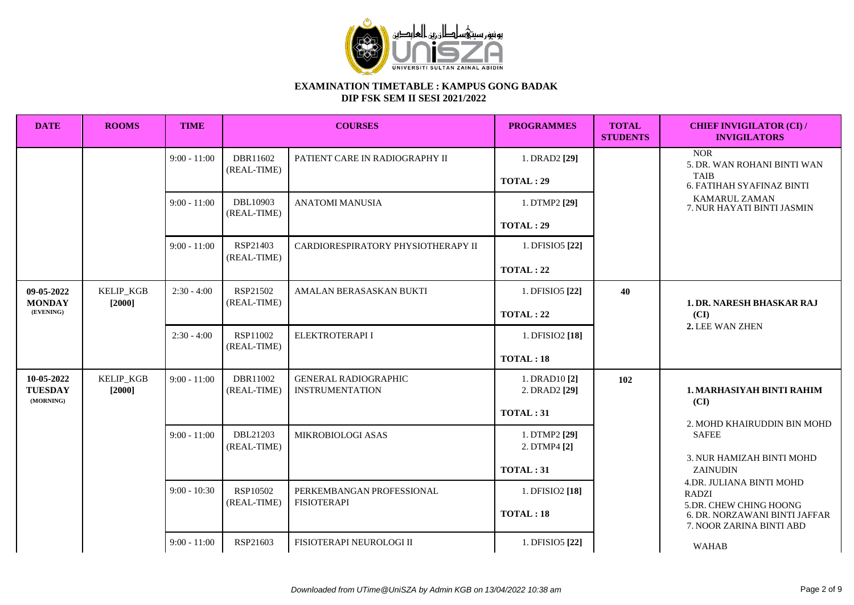

| <b>DATE</b>                               | <b>ROOMS</b>        | <b>TIME</b>    |                         | <b>COURSES</b>                                        | <b>PROGRAMMES</b>                               | <b>TOTAL</b><br><b>STUDENTS</b> | <b>CHIEF INVIGILATOR (CI) /</b><br><b>INVIGILATORS</b>                                       |
|-------------------------------------------|---------------------|----------------|-------------------------|-------------------------------------------------------|-------------------------------------------------|---------------------------------|----------------------------------------------------------------------------------------------|
|                                           |                     | $9:00 - 11:00$ | DBR11602<br>(REAL-TIME) | PATIENT CARE IN RADIOGRAPHY II                        | 1. DRAD2 [29]<br><b>TOTAL: 29</b>               |                                 | <b>NOR</b><br>5. DR. WAN ROHANI BINTI WAN<br><b>TAIB</b><br><b>6. FATIHAH SYAFINAZ BINTI</b> |
|                                           |                     | $9:00 - 11:00$ | DBL10903<br>(REAL-TIME) | <b>ANATOMI MANUSIA</b>                                | 1. DTMP2 [29]<br><b>TOTAL: 29</b>               |                                 | <b>KAMARUL ZAMAN</b><br>7. NUR HAYATI BINTI JASMIN                                           |
|                                           |                     | $9:00 - 11:00$ | RSP21403<br>(REAL-TIME) | CARDIORESPIRATORY PHYSIOTHERAPY II                    | 1. DFISIO5 [22]<br><b>TOTAL: 22</b>             |                                 |                                                                                              |
| 09-05-2022<br><b>MONDAY</b><br>(EVENING)  | KELIP_KGB<br>[2000] | $2:30 - 4:00$  | RSP21502<br>(REAL-TIME) | AMALAN BERASASKAN BUKTI                               | 1. DFISIO5 [22]<br>TOTAL: 22                    | 40                              | 1. DR. NARESH BHASKAR RAJ<br>(CI)                                                            |
|                                           |                     | $2:30 - 4:00$  | RSP11002<br>(REAL-TIME) | ELEKTROTERAPI I                                       | 1. DFISIO2 [18]<br>TOTAL:18                     |                                 | 2. LEE WAN ZHEN                                                                              |
| 10-05-2022<br><b>TUESDAY</b><br>(MORNING) | KELIP_KGB<br>[2000] | $9:00 - 11:00$ | DBR11002<br>(REAL-TIME) | <b>GENERAL RADIOGRAPHIC</b><br><b>INSTRUMENTATION</b> | 1. DRAD10 [2]<br>2. DRAD2 [29]<br>TOTAL:31      | 102                             | <b>1. MARHASIYAH BINTI RAHIM</b><br>(CI)<br>2. MOHD KHAIRUDDIN BIN MOHD                      |
|                                           |                     | $9:00 - 11:00$ | DBL21203<br>(REAL-TIME) | MIKROBIOLOGI ASAS                                     | 1. DTMP2 [29]<br>2. DTMP4 [2]<br>TOTAL:31       |                                 | <b>SAFEE</b><br>3. NUR HAMIZAH BINTI MOHD<br>ZAINUDIN                                        |
|                                           |                     |                | $9:00 - 10:30$          | RSP10502<br>(REAL-TIME)                               | PERKEMBANGAN PROFESSIONAL<br><b>FISIOTERAPI</b> | 1. DFISIO2 [18]<br>TOTAL:18     |                                                                                              |
|                                           |                     | $9:00 - 11:00$ | RSP21603                | FISIOTERAPI NEUROLOGI II                              | 1. DFISIO5 [22]                                 |                                 | <b>WAHAB</b>                                                                                 |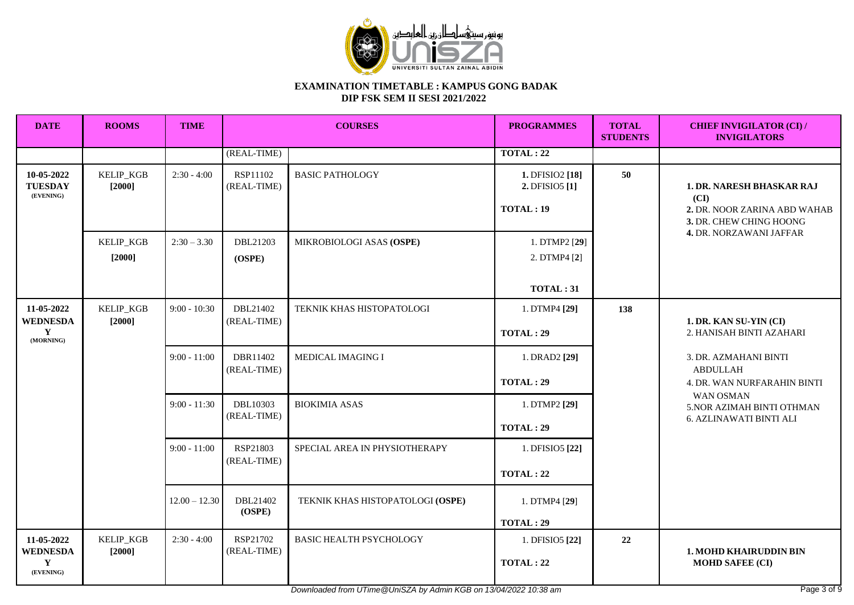

| <b>DATE</b>                                     | <b>ROOMS</b>                 | <b>TIME</b>     | <b>COURSES</b>          |                                  | <b>PROGRAMMES</b>                             | <b>TOTAL</b><br><b>STUDENTS</b>             | <b>CHIEF INVIGILATOR (CI) /</b><br><b>INVIGILATORS</b>                                                                         |
|-------------------------------------------------|------------------------------|-----------------|-------------------------|----------------------------------|-----------------------------------------------|---------------------------------------------|--------------------------------------------------------------------------------------------------------------------------------|
|                                                 |                              |                 | (REAL-TIME)             |                                  | <b>TOTAL: 22</b>                              |                                             |                                                                                                                                |
| 10-05-2022<br><b>TUESDAY</b><br>(EVENING)       | KELIP_KGB<br>$[2000]$        | $2:30 - 4:00$   | RSP11102<br>(REAL-TIME) | <b>BASIC PATHOLOGY</b>           | 1. DFISIO2 [18]<br>2. DFISIO5 [1]<br>TOTAL:19 | 50                                          | <b>1. DR. NARESH BHASKAR RAJ</b><br>(CI)<br>2. DR. NOOR ZARINA ABD WAHAB<br>3. DR. CHEW CHING HOONG<br>4. DR. NORZAWANI JAFFAR |
|                                                 | KELIP_KGB<br>$[2000]$        | $2:30 - 3.30$   | DBL21203<br>(OSPE)      | MIKROBIOLOGI ASAS (OSPE)         | 1. DTMP2 [29]<br>2. DTMP4 [2]<br>TOTAL:31     |                                             |                                                                                                                                |
| 11-05-2022<br><b>WEDNESDA</b><br>Y<br>(MORNING) | KELIP_KGB<br>[2000]          | $9:00 - 10:30$  | DBL21402<br>(REAL-TIME) | TEKNIK KHAS HISTOPATOLOGI        | 1. DTMP4 [29]<br><b>TOTAL: 29</b>             | 138                                         | 1. DR. KAN SU-YIN (CI)<br>2. HANISAH BINTI AZAHARI                                                                             |
|                                                 |                              | $9:00 - 11:00$  | DBR11402<br>(REAL-TIME) | MEDICAL IMAGING I                | 1. DRAD2 [29]<br><b>TOTAL: 29</b>             |                                             | 3. DR. AZMAHANI BINTI<br><b>ABDULLAH</b><br>4. DR. WAN NURFARAHIN BINTI                                                        |
|                                                 |                              | $9:00 - 11:30$  | DBL10303<br>(REAL-TIME) | <b>BIOKIMIA ASAS</b>             | 1. DTMP2 [29]<br><b>TOTAL: 29</b>             | WAN OSMAN<br><b>6. AZLINAWATI BINTI ALI</b> | 5. NOR AZIMAH BINTI OTHMAN                                                                                                     |
|                                                 |                              | $9:00 - 11:00$  | RSP21803<br>(REAL-TIME) | SPECIAL AREA IN PHYSIOTHERAPY    | 1. DFISIO5 [22]<br><b>TOTAL: 22</b>           |                                             |                                                                                                                                |
|                                                 |                              | $12.00 - 12.30$ | DBL21402<br>(OSPE)      | TEKNIK KHAS HISTOPATOLOGI (OSPE) | 1. DTMP4 [29]<br>TOTAL: 29                    |                                             |                                                                                                                                |
| 11-05-2022<br><b>WEDNESDA</b><br>Y<br>(EVENING) | <b>KELIP_KGB</b><br>$[2000]$ | $2:30 - 4:00$   | RSP21702<br>(REAL-TIME) | <b>BASIC HEALTH PSYCHOLOGY</b>   | 1. DFISIO5 [22]<br><b>TOTAL: 22</b>           | 22                                          | <b>1. MOHD KHAIRUDDIN BIN</b><br><b>MOHD SAFEE (CI)</b>                                                                        |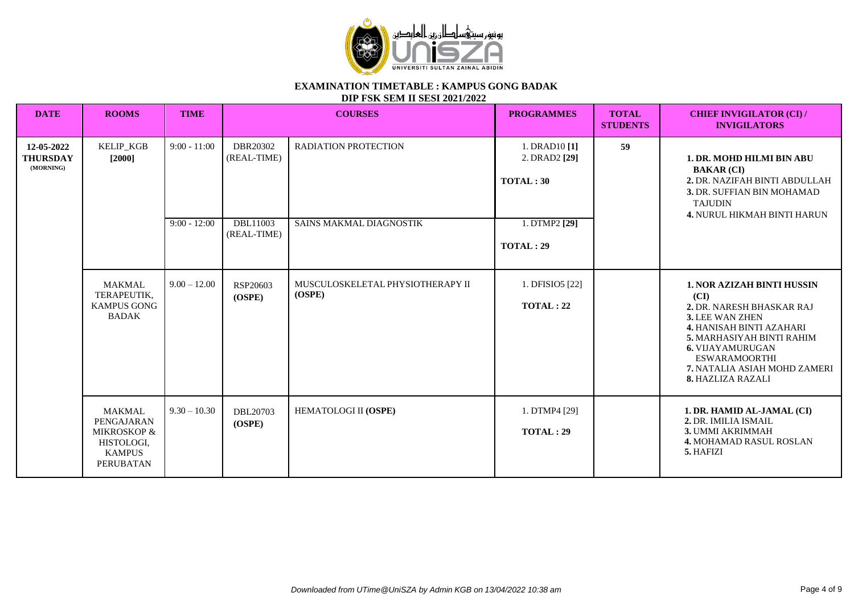

**DIP FSK SEM II SESI 2021/2022**

| <b>DATE</b>                                | <b>ROOMS</b>                                                                                             | <b>TIME</b>                                                                                                                                                                                                                 |                    | <b>COURSES</b>                                                                                                                                                               | <b>PROGRAMMES</b>                   | <b>TOTAL</b><br><b>STUDENTS</b> | <b>CHIEF INVIGILATOR (CI) /</b><br><b>INVIGILATORS</b>                                                                                                                                                                                                            |
|--------------------------------------------|----------------------------------------------------------------------------------------------------------|-----------------------------------------------------------------------------------------------------------------------------------------------------------------------------------------------------------------------------|--------------------|------------------------------------------------------------------------------------------------------------------------------------------------------------------------------|-------------------------------------|---------------------------------|-------------------------------------------------------------------------------------------------------------------------------------------------------------------------------------------------------------------------------------------------------------------|
| 12-05-2022<br><b>THURSDAY</b><br>(MORNING) | KELIP_KGB<br>$[2000]$                                                                                    | DBR20302<br>$9:00 - 11:00$<br><b>RADIATION PROTECTION</b><br>1. DRAD10 [1]<br>(REAL-TIME)<br>2. DRAD2 [29]<br>TOTAL:30<br>$9:00 - 12:00$<br>DBL11003<br>1. DTMP2 [29]<br>SAINS MAKMAL DIAGNOSTIK<br>(REAL-TIME)<br>TOTAL:29 | 59                 | <b>1. DR. MOHD HILMI BIN ABU</b><br><b>BAKAR (CI)</b><br>2. DR. NAZIFAH BINTI ABDULLAH<br>3. DR. SUFFIAN BIN MOHAMAD<br><b>TAJUDIN</b><br><b>4. NURUL HIKMAH BINTI HARUN</b> |                                     |                                 |                                                                                                                                                                                                                                                                   |
|                                            |                                                                                                          |                                                                                                                                                                                                                             |                    |                                                                                                                                                                              |                                     |                                 |                                                                                                                                                                                                                                                                   |
|                                            | <b>MAKMAL</b><br>TERAPEUTIK.<br><b>KAMPUS GONG</b><br><b>BADAK</b>                                       | $9.00 - 12.00$                                                                                                                                                                                                              | RSP20603<br>(OSPE) | MUSCULOSKELETAL PHYSIOTHERAPY II<br>(OSPE)                                                                                                                                   | 1. DFISIO5 [22]<br><b>TOTAL: 22</b> |                                 | <b>1. NOR AZIZAH BINTI HUSSIN</b><br>(CI)<br>2. DR. NARESH BHASKAR RAJ<br>3. LEE WAN ZHEN<br><b>4. HANISAH BINTI AZAHARI</b><br>5. MARHASIYAH BINTI RAHIM<br><b>6. VIJAYAMURUGAN</b><br><b>ESWARAMOORTHI</b><br>7. NATALIA ASIAH MOHD ZAMERI<br>8. HAZLIZA RAZALI |
|                                            | <b>MAKMAL</b><br>PENGAJARAN<br><b>MIKROSKOP &amp;</b><br>HISTOLOGI,<br><b>KAMPUS</b><br><b>PERUBATAN</b> | $9.30 - 10.30$                                                                                                                                                                                                              | DBL20703<br>(OSPE) | HEMATOLOGI II (OSPE)                                                                                                                                                         | 1. DTMP4 [29]<br>TOTAL:29           |                                 | 1. DR. HAMID AL-JAMAL (CI)<br>2. DR. IMILIA ISMAIL<br>3. UMMI AKRIMMAH<br><b>4. MOHAMAD RASUL ROSLAN</b><br>5. HAFIZI                                                                                                                                             |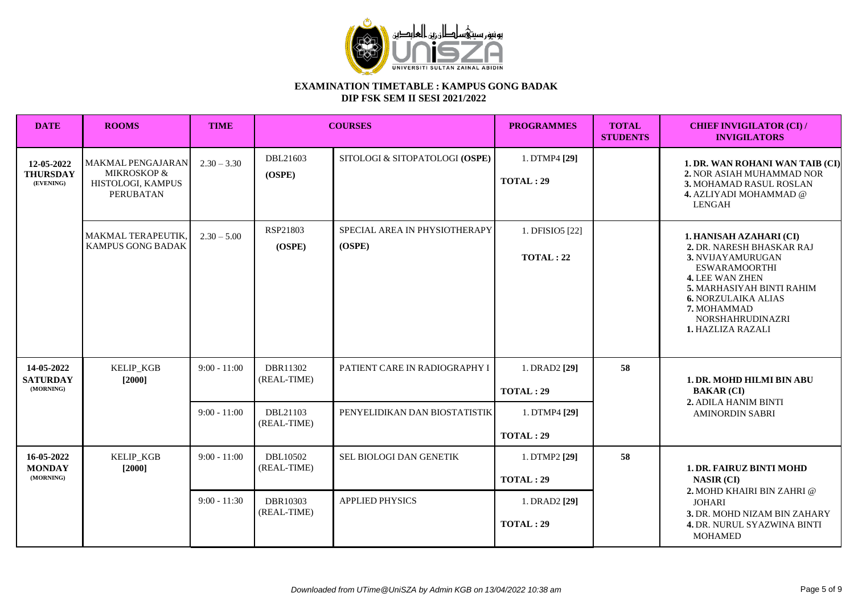

| <b>DATE</b>                                | <b>ROOMS</b>                                                       | <b>TIME</b>    |                         | <b>COURSES</b>                          | <b>PROGRAMMES</b>                   | <b>TOTAL</b><br><b>STUDENTS</b> | <b>CHIEF INVIGILATOR (CI) /</b><br><b>INVIGILATORS</b>                                                                                                                                                                                                       |
|--------------------------------------------|--------------------------------------------------------------------|----------------|-------------------------|-----------------------------------------|-------------------------------------|---------------------------------|--------------------------------------------------------------------------------------------------------------------------------------------------------------------------------------------------------------------------------------------------------------|
| 12-05-2022<br><b>THURSDAY</b><br>(EVENING) | MAKMAL PENGAJARAN<br>MIKROSKOP &<br>HISTOLOGI, KAMPUS<br>PERUBATAN | $2.30 - 3.30$  | DBL21603<br>(OSPE)      | SITOLOGI & SITOPATOLOGI (OSPE)          | 1. DTMP4 [29]<br>TOTAL:29           |                                 | 1. DR. WAN ROHANI WAN TAIB (CI)<br>2. NOR ASIAH MUHAMMAD NOR<br>3. MOHAMAD RASUL ROSLAN<br>4. AZLIYADI MOHAMMAD @<br><b>LENGAH</b>                                                                                                                           |
|                                            | MAKMAL TERAPEUTIK,<br>KAMPUS GONG BADAK                            | $2.30 - 5.00$  | RSP21803<br>(OSPE)      | SPECIAL AREA IN PHYSIOTHERAPY<br>(OSPE) | 1. DFISIO5 [22]<br><b>TOTAL: 22</b> |                                 | 1. HANISAH AZAHARI (CI)<br>2. DR. NARESH BHASKAR RAJ<br>3. NVIJAYAMURUGAN<br><b>ESWARAMOORTHI</b><br><b>4. LEE WAN ZHEN</b><br><b>5. MARHASIYAH BINTI RAHIM</b><br><b>6. NORZULAIKA ALIAS</b><br>7. MOHAMMAD<br><b>NORSHAHRUDINAZRI</b><br>1. HAZLIZA RAZALI |
| 14-05-2022<br><b>SATURDAY</b><br>(MORNING) | <b>KELIP KGB</b><br>[2000]                                         | $9:00 - 11:00$ | DBR11302<br>(REAL-TIME) | PATIENT CARE IN RADIOGRAPHY I           | 1. DRAD2 [29]<br><b>TOTAL: 29</b>   | 58                              | 1. DR. MOHD HILMI BIN ABU<br><b>BAKAR (CI)</b>                                                                                                                                                                                                               |
|                                            |                                                                    | $9:00 - 11:00$ | DBL21103<br>(REAL-TIME) | PENYELIDIKAN DAN BIOSTATISTIK           | 1. DTMP4 [29]<br>TOTAL:29           |                                 | 2. ADILA HANIM BINTI<br><b>AMINORDIN SABRI</b>                                                                                                                                                                                                               |
| 16-05-2022<br><b>MONDAY</b><br>(MORNING)   | KELIP_KGB<br>$[2000]$                                              | $9:00 - 11:00$ | DBL10502<br>(REAL-TIME) | SEL BIOLOGI DAN GENETIK                 | 1. DTMP2 [29]<br>TOTAL:29           | 58                              | <b>1. DR. FAIRUZ BINTI MOHD</b><br><b>NASIR (CI)</b><br>2. MOHD KHAIRI BIN ZAHRI @                                                                                                                                                                           |
|                                            |                                                                    | $9:00 - 11:30$ | DBR10303<br>(REAL-TIME) | <b>APPLIED PHYSICS</b>                  | 1. DRAD2 [29]<br>TOTAL: 29          |                                 | <b>JOHARI</b><br>3. DR. MOHD NIZAM BIN ZAHARY<br><b>4. DR. NURUL SYAZWINA BINTI</b><br><b>MOHAMED</b>                                                                                                                                                        |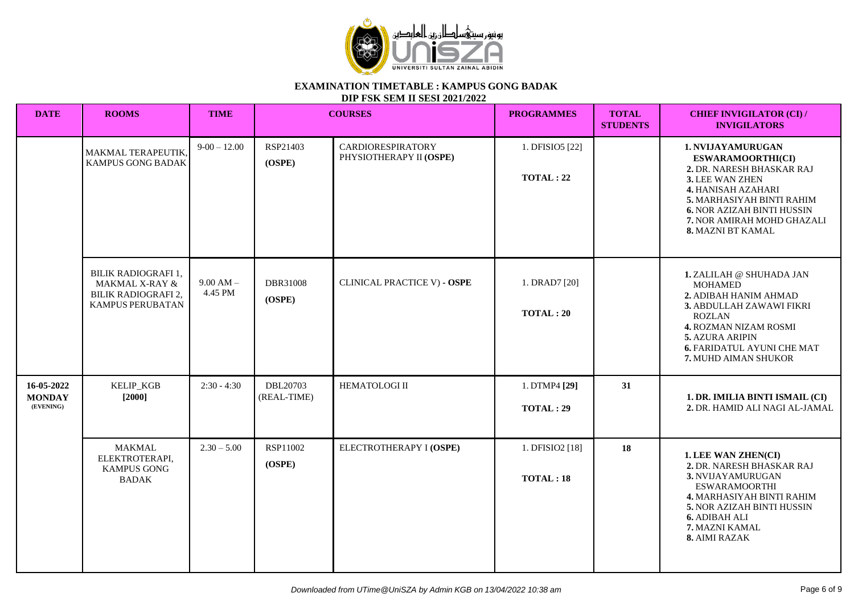

**DIP FSK SEM II SESI 2021/2022**

| <b>DATE</b>                              | <b>ROOMS</b>                                                                                       | <b>TIME</b>            |                         | <b>COURSES</b>                                      | <b>PROGRAMMES</b>           | <b>TOTAL</b><br><b>STUDENTS</b> | <b>CHIEF INVIGILATOR (CI) /</b><br><b>INVIGILATORS</b>                                                                                                                                                                                                 |
|------------------------------------------|----------------------------------------------------------------------------------------------------|------------------------|-------------------------|-----------------------------------------------------|-----------------------------|---------------------------------|--------------------------------------------------------------------------------------------------------------------------------------------------------------------------------------------------------------------------------------------------------|
|                                          | MAKMAL TERAPEUTIK,<br>KAMPUS GONG BADAK                                                            | $9-00-12.00$           | RSP21403<br>(OSPE)      | <b>CARDIORESPIRATORY</b><br>PHYSIOTHERAPY II (OSPE) | 1. DFISIO5 [22]<br>TOTAL:22 |                                 | 1. NVIJAYAMURUGAN<br><b>ESWARAMOORTHI(CI)</b><br>2. DR. NARESH BHASKAR RAJ<br>3. LEE WAN ZHEN<br><b>4. HANISAH AZAHARI</b><br>5. MARHASIYAH BINTI RAHIM<br><b>6. NOR AZIZAH BINTI HUSSIN</b><br>7. NOR AMIRAH MOHD GHAZALI<br><b>8. MAZNI BT KAMAL</b> |
|                                          | BILIK RADIOGRAFI 1,<br><b>MAKMAL X-RAY &amp;</b><br><b>BILIK RADIOGRAFI 2,</b><br>KAMPUS PERUBATAN | $9.00 AM -$<br>4.45 PM | DBR31008<br>(OSPE)      | CLINICAL PRACTICE V) - OSPE                         | 1. DRAD7 [20]<br>TOTAL:20   |                                 | 1. ZALILAH @ SHUHADA JAN<br><b>MOHAMED</b><br>2. ADIBAH HANIM AHMAD<br>3. ABDULLAH ZAWAWI FIKRI<br><b>ROZLAN</b><br><b>4. ROZMAN NIZAM ROSMI</b><br>5. AZURA ARIPIN<br><b>6. FARIDATUL AYUNI CHE MAT</b><br>7. MUHD AIMAN SHUKOR                       |
| 16-05-2022<br><b>MONDAY</b><br>(EVENING) | KELIP_KGB<br>$[2000]$                                                                              | $2:30 - 4:30$          | DBL20703<br>(REAL-TIME) | <b>HEMATOLOGI II</b>                                | 1. DTMP4 [29]<br>TOTAL: 29  | 31                              | 1. DR. IMILIA BINTI ISMAIL (CI)<br>2. DR. HAMID ALI NAGI AL-JAMAL                                                                                                                                                                                      |
|                                          | <b>MAKMAL</b><br>ELEKTROTERAPI,<br><b>KAMPUS GONG</b><br><b>BADAK</b>                              | $2.30 - 5.00$          | RSP11002<br>(OSPE)      | ELECTROTHERAPY I (OSPE)                             | 1. DFISIO2 [18]<br>TOTAL:18 | 18                              | 1. LEE WAN ZHEN(CI)<br>2. DR. NARESH BHASKAR RAJ<br>3. NVIJAYAMURUGAN<br><b>ESWARAMOORTHI</b><br>4. MARHASIYAH BINTI RAHIM<br><b>5. NOR AZIZAH BINTI HUSSIN</b><br><b>6. ADIBAH ALI</b><br>7. MAZNI KAMAL<br>8. AIMI RAZAK                             |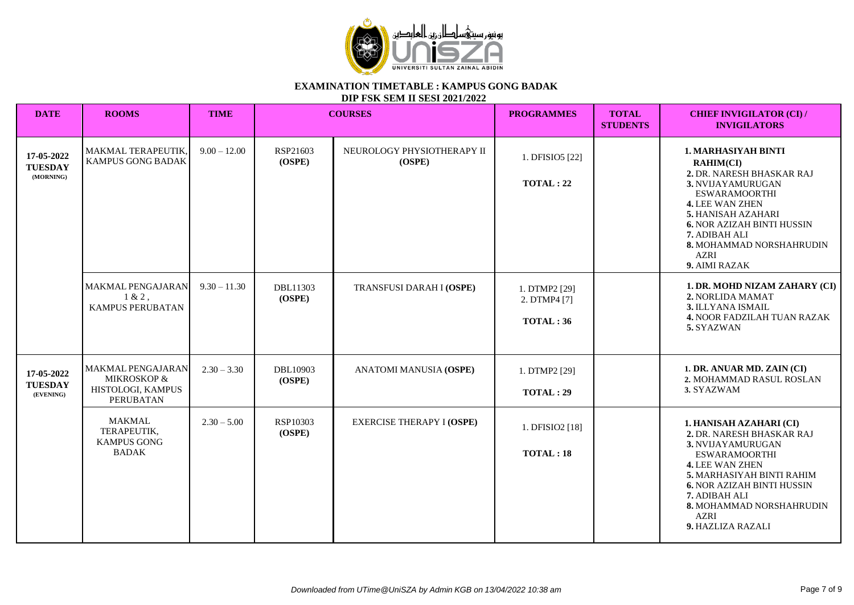

**DIP FSK SEM II SESI 2021/2022**

| <b>DATE</b>                               | <b>ROOMS</b>                                                                     | <b>TIME</b>    |                    | <b>COURSES</b>                       | <b>PROGRAMMES</b>                         | <b>TOTAL</b><br><b>STUDENTS</b> | <b>CHIEF INVIGILATOR (CI) /</b><br><b>INVIGILATORS</b>                                                                                                                                                                                                                                     |
|-------------------------------------------|----------------------------------------------------------------------------------|----------------|--------------------|--------------------------------------|-------------------------------------------|---------------------------------|--------------------------------------------------------------------------------------------------------------------------------------------------------------------------------------------------------------------------------------------------------------------------------------------|
| 17-05-2022<br><b>TUESDAY</b><br>(MORNING) | MAKMAL TERAPEUTIK,<br>KAMPUS GONG BADAK                                          | $9.00 - 12.00$ | RSP21603<br>(OSPE) | NEUROLOGY PHYSIOTHERAPY II<br>(OSPE) | 1. DFISIO5 [22]<br><b>TOTAL: 22</b>       |                                 | <b>1. MARHASIYAH BINTI</b><br><b>RAHIM(CI)</b><br>2. DR. NARESH BHASKAR RAJ<br>3. NVIJAYAMURUGAN<br><b>ESWARAMOORTHI</b><br>4. LEE WAN ZHEN<br><b>5. HANISAH AZAHARI</b><br><b>6. NOR AZIZAH BINTI HUSSIN</b><br>7. ADIBAH ALI<br>8. MOHAMMAD NORSHAHRUDIN<br><b>AZRI</b><br>9. AIMI RAZAK |
|                                           | MAKMAL PENGAJARAN<br>$1 & 2$ ,<br><b>KAMPUS PERUBATAN</b>                        | $9.30 - 11.30$ | DBL11303<br>(OSPE) | <b>TRANSFUSI DARAH I (OSPE)</b>      | 1. DTMP2 [29]<br>2. DTMP4 [7]<br>TOTAL:36 |                                 | 1. DR. MOHD NIZAM ZAHARY (CI)<br>2. NORLIDA MAMAT<br>3. ILLYANA ISMAIL<br>4. NOOR FADZILAH TUAN RAZAK<br>5. SYAZWAN                                                                                                                                                                        |
| 17-05-2022<br><b>TUESDAY</b><br>(EVENING) | <b>MAKMAL PENGAJARAN</b><br>MIKROSKOP &<br>HISTOLOGI, KAMPUS<br><b>PERUBATAN</b> | $2.30 - 3.30$  | DBL10903<br>(OSPE) | ANATOMI MANUSIA (OSPE)               | 1. DTMP2 [29]<br>TOTAL:29                 |                                 | 1. DR. ANUAR MD. ZAIN (CI)<br>2. MOHAMMAD RASUL ROSLAN<br>3. SYAZWAM                                                                                                                                                                                                                       |
|                                           | <b>MAKMAL</b><br>TERAPEUTIK.<br><b>KAMPUS GONG</b><br><b>BADAK</b>               | $2.30 - 5.00$  | RSP10303<br>(OSPE) | <b>EXERCISE THERAPY I (OSPE)</b>     | 1. DFISIO2 [18]<br>TOTAL:18               |                                 | 1. HANISAH AZAHARI (CI)<br>2. DR. NARESH BHASKAR RAJ<br>3. NVIJAYAMURUGAN<br><b>ESWARAMOORTHI</b><br><b>4. LEE WAN ZHEN</b><br>5. MARHASIYAH BINTI RAHIM<br><b>6. NOR AZIZAH BINTI HUSSIN</b><br>7. ADIBAH ALI<br>8. MOHAMMAD NORSHAHRUDIN<br><b>AZRI</b><br>9. HAZLIZA RAZALI             |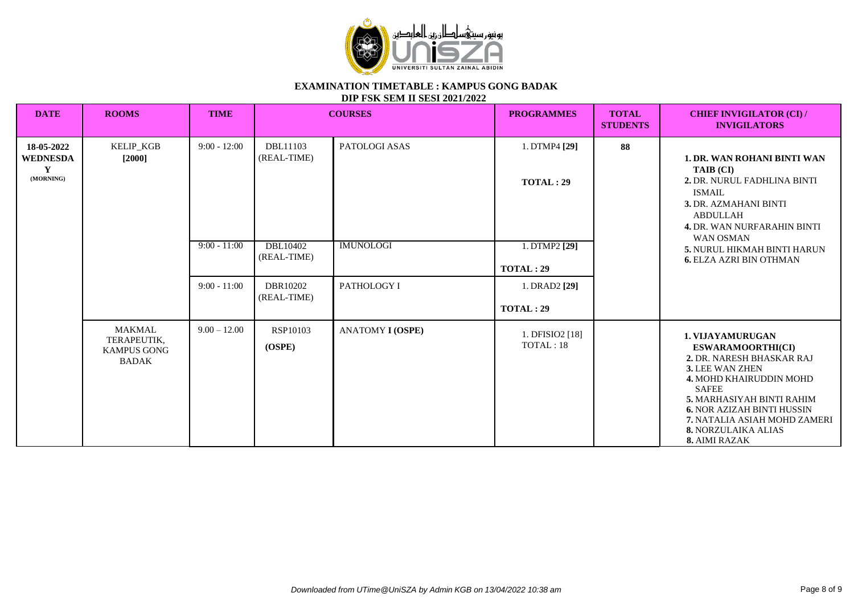

**DIP FSK SEM II SESI 2021/2022**

| <b>DATE</b>                                     | <b>ROOMS</b>                                                       | <b>TIME</b>                      |                                            | <b>COURSES</b>                    | <b>PROGRAMMES</b>                                  | <b>TOTAL</b><br><b>STUDENTS</b> | <b>CHIEF INVIGILATOR (CI) /</b><br><b>INVIGILATORS</b>                                                                                                                                                                                                                                          |
|-------------------------------------------------|--------------------------------------------------------------------|----------------------------------|--------------------------------------------|-----------------------------------|----------------------------------------------------|---------------------------------|-------------------------------------------------------------------------------------------------------------------------------------------------------------------------------------------------------------------------------------------------------------------------------------------------|
| 18-05-2022<br><b>WEDNESDA</b><br>Y<br>(MORNING) | <b>KELIP_KGB</b><br>$[2000]$                                       | $9:00 - 12:00$<br>$9:00 - 11:00$ | DBL11103<br>(REAL-TIME)<br><b>DBL10402</b> | PATOLOGI ASAS<br><b>IMUNOLOGI</b> | 1. DTMP4 [29]<br><b>TOTAL: 29</b><br>1. DTMP2 [29] | 88                              | <b>1. DR. WAN ROHANI BINTI WAN</b><br>TAIB (CI)<br>2. DR. NURUL FADHLINA BINTI<br><b>ISMAIL</b><br>3. DR. AZMAHANI BINTI<br><b>ABDULLAH</b><br><b>4. DR. WAN NURFARAHIN BINTI</b><br><b>WAN OSMAN</b><br><b>5. NURUL HIKMAH BINTI HARUN</b>                                                     |
|                                                 |                                                                    | $9:00 - 11:00$                   | (REAL-TIME)                                |                                   | <b>TOTAL: 29</b>                                   |                                 | <b>6. ELZA AZRI BIN OTHMAN</b>                                                                                                                                                                                                                                                                  |
|                                                 |                                                                    |                                  | DBR10202<br>(REAL-TIME)                    | PATHOLOGY I                       | 1. DRAD2 [29]                                      |                                 |                                                                                                                                                                                                                                                                                                 |
|                                                 |                                                                    |                                  |                                            |                                   | TOTAL:29                                           |                                 |                                                                                                                                                                                                                                                                                                 |
|                                                 | <b>MAKMAL</b><br>TERAPEUTIK,<br><b>KAMPUS GONG</b><br><b>BADAK</b> | $9.00 - 12.00$                   | RSP10103<br>(OSPE)                         | <b>ANATOMY I (OSPE)</b>           | 1. DFISIO2 [18]<br>TOTAL: 18                       |                                 | 1. VIJAYAMURUGAN<br><b>ESWARAMOORTHI(CI)</b><br>2. DR. NARESH BHASKAR RAJ<br>3. LEE WAN ZHEN<br>4. MOHD KHAIRUDDIN MOHD<br><b>SAFEE</b><br>5. MARHASIYAH BINTI RAHIM<br><b>6. NOR AZIZAH BINTI HUSSIN</b><br>7. NATALIA ASIAH MOHD ZAMERI<br><b>8. NORZULAIKA ALIAS</b><br><b>8. AIMI RAZAK</b> |